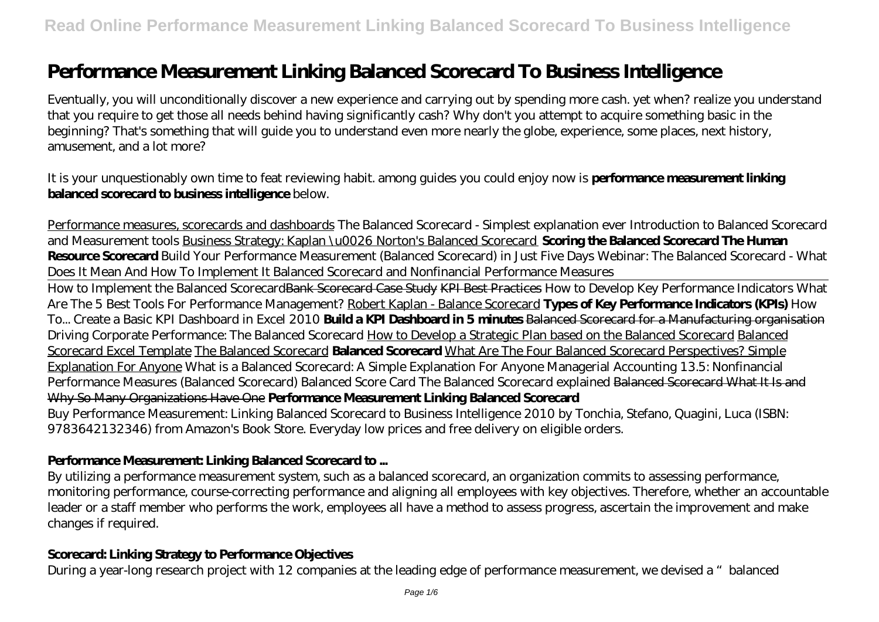# **Performance Measurement Linking Balanced Scorecard To Business Intelligence**

Eventually, you will unconditionally discover a new experience and carrying out by spending more cash. yet when? realize you understand that you require to get those all needs behind having significantly cash? Why don't you attempt to acquire something basic in the beginning? That's something that will guide you to understand even more nearly the globe, experience, some places, next history, amusement, and a lot more?

It is your unquestionably own time to feat reviewing habit. among guides you could enjoy now is **performance measurement linking balanced scorecard to business intelligence** below.

Performance measures, scorecards and dashboards The Balanced Scorecard - Simplest explanation ever *Introduction to Balanced Scorecard and Measurement tools* Business Strategy: Kaplan \u0026 Norton's Balanced Scorecard **Scoring the Balanced Scorecard The Human Resource Scorecard** *Build Your Performance Measurement (Balanced Scorecard) in Just Five Days Webinar: The Balanced Scorecard - What Does It Mean And How To Implement It Balanced Scorecard and Nonfinancial Performance Measures*

How to Implement the Balanced ScorecardBank Scorecard Case Study KPI Best Practices *How to Develop Key Performance Indicators* What Are The 5 Best Tools For Performance Management? Robert Kaplan - Balance Scorecard **Types of Key Performance Indicators (KPIs)** *How To... Create a Basic KPI Dashboard in Excel 2010* **Build a KPI Dashboard in 5 minutes** Balanced Scorecard for a Manufacturing organisation *Driving Corporate Performance: The Balanced Scorecard* How to Develop a Strategic Plan based on the Balanced Scorecard Balanced Scorecard Excel Template The Balanced Scorecard **Balanced Scorecard** What Are The Four Balanced Scorecard Perspectives? Simple Explanation For Anyone *What is a Balanced Scorecard: A Simple Explanation For Anyone Managerial Accounting 13.5: Nonfinancial Performance Measures (Balanced Scorecard) Balanced Score Card The Balanced Scorecard explained* Balanced Scorecard What It Is and Why So Many Organizations Have One **Performance Measurement Linking Balanced Scorecard** Buy Performance Measurement: Linking Balanced Scorecard to Business Intelligence 2010 by Tonchia, Stefano, Quagini, Luca (ISBN: 9783642132346) from Amazon's Book Store. Everyday low prices and free delivery on eligible orders.

# **Performance Measurement: Linking Balanced Scorecard to ...**

By utilizing a performance measurement system, such as a balanced scorecard, an organization commits to assessing performance, monitoring performance, course-correcting performance and aligning all employees with key objectives. Therefore, whether an accountable leader or a staff member who performs the work, employees all have a method to assess progress, ascertain the improvement and make changes if required.

# **Scorecard: Linking Strategy to Performance Objectives**

During a year-long research project with 12 companies at the leading edge of performance measurement, we devised a "balanced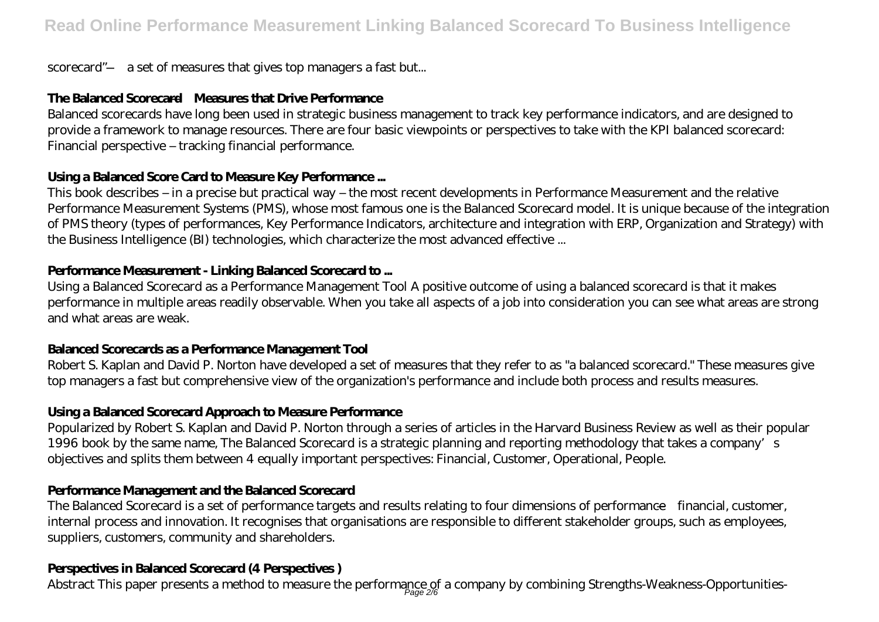scorecard"—a set of measures that gives top managers a fast but...

## **The Balanced Scorecard—Measures that Drive Performance**

Balanced scorecards have long been used in strategic business management to track key performance indicators, and are designed to provide a framework to manage resources. There are four basic viewpoints or perspectives to take with the KPI balanced scorecard: Financial perspective – tracking financial performance.

# **Using a Balanced Score Card to Measure Key Performance ...**

This book describes – in a precise but practical way – the most recent developments in Performance Measurement and the relative Performance Measurement Systems (PMS), whose most famous one is the Balanced Scorecard model. It is unique because of the integration of PMS theory (types of performances, Key Performance Indicators, architecture and integration with ERP, Organization and Strategy) with the Business Intelligence (BI) technologies, which characterize the most advanced effective ...

## **Performance Measurement - Linking Balanced Scorecard to ...**

Using a Balanced Scorecard as a Performance Management Tool A positive outcome of using a balanced scorecard is that it makes performance in multiple areas readily observable. When you take all aspects of a job into consideration you can see what areas are strong and what areas are weak.

# **Balanced Scorecards as a Performance Management Tool**

Robert S. Kaplan and David P. Norton have developed a set of measures that they refer to as "a balanced scorecard." These measures give top managers a fast but comprehensive view of the organization's performance and include both process and results measures.

## **Using a Balanced Scorecard Approach to Measure Performance**

Popularized by Robert S. Kaplan and David P. Norton through a series of articles in the Harvard Business Review as well as their popular 1996 book by the same name, The Balanced Scorecard is a strategic planning and reporting methodology that takes a company's objectives and splits them between 4 equally important perspectives: Financial, Customer, Operational, People.

# **Performance Management and the Balanced Scorecard**

The Balanced Scorecard is a set of performance targets and results relating to four dimensions of performance—financial, customer, internal process and innovation. It recognises that organisations are responsible to different stakeholder groups, such as employees, suppliers, customers, community and shareholders.

# **Perspectives in Balanced Scorecard (4 Perspectives )**

Abstract This paper presents a method to measure the performance of a company by combining Strengths-Weakness-Opportunities-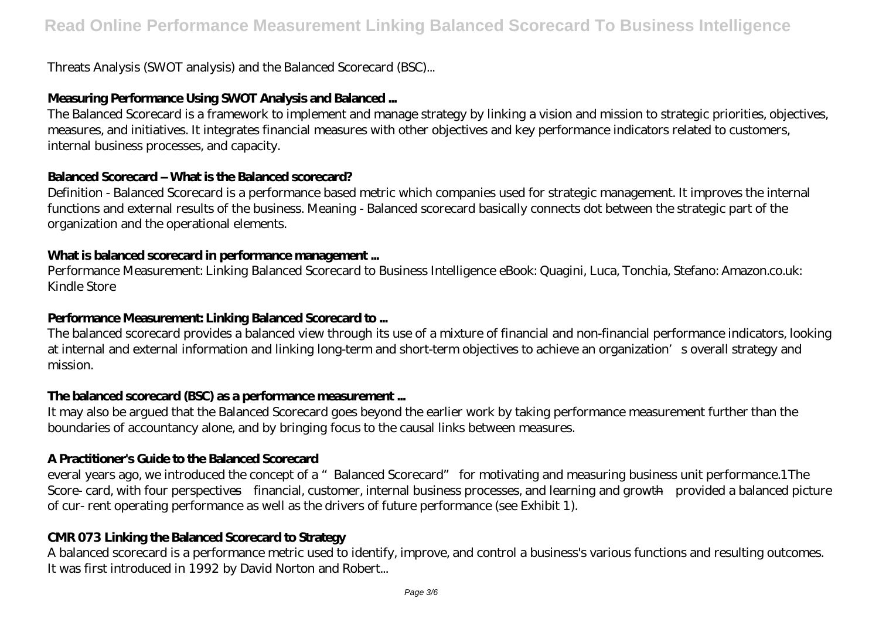Threats Analysis (SWOT analysis) and the Balanced Scorecard (BSC)...

# **Measuring Performance Using SWOT Analysis and Balanced ...**

The Balanced Scorecard is a framework to implement and manage strategy by linking a vision and mission to strategic priorities, objectives, measures, and initiatives. It integrates financial measures with other objectives and key performance indicators related to customers, internal business processes, and capacity.

## **Balanced Scorecard – What is the Balanced scorecard?**

Definition - Balanced Scorecard is a performance based metric which companies used for strategic management. It improves the internal functions and external results of the business. Meaning - Balanced scorecard basically connects dot between the strategic part of the organization and the operational elements.

## **What is balanced scorecard in performance management ...**

Performance Measurement: Linking Balanced Scorecard to Business Intelligence eBook: Quagini, Luca, Tonchia, Stefano: Amazon.co.uk: Kindle Store

## **Performance Measurement: Linking Balanced Scorecard to ...**

The balanced scorecard provides a balanced view through its use of a mixture of financial and non-financial performance indicators, looking at internal and external information and linking long-term and short-term objectives to achieve an organization's overall strategy and mission.

## **The balanced scorecard (BSC) as a performance measurement ...**

It may also be argued that the Balanced Scorecard goes beyond the earlier work by taking performance measurement further than the boundaries of accountancy alone, and by bringing focus to the causal links between measures.

## **A Practitioner's Guide to the Balanced Scorecard**

everal years ago, we introduced the concept of a "Balanced Scorecard" for motivating and measuring business unit performance.1The Score- card, with four perspectives—financial, customer, internal business processes, and learning and growth—provided a balanced picture of cur- rent operating performance as well as the drivers of future performance (see Exhibit 1).

## **CMR 073 Linking the Balanced Scorecard to Strategy**

A balanced scorecard is a performance metric used to identify, improve, and control a business's various functions and resulting outcomes. It was first introduced in 1992 by David Norton and Robert...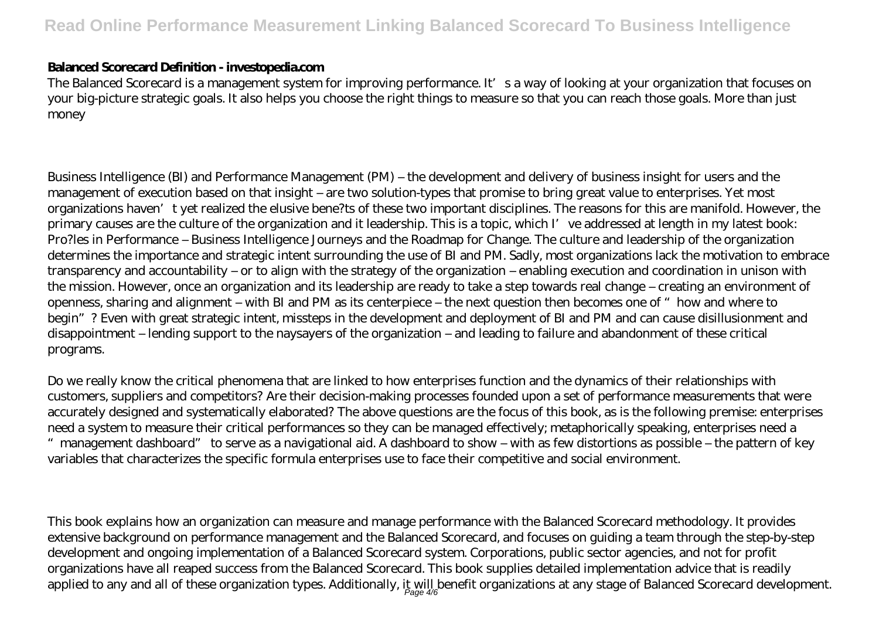## **Balanced Scorecard Definition - investopedia.com**

The Balanced Scorecard is a management system for improving performance. It's a way of looking at your organization that focuses on your big-picture strategic goals. It also helps you choose the right things to measure so that you can reach those goals. More than just money

Business Intelligence (BI) and Performance Management (PM) – the development and delivery of business insight for users and the management of execution based on that insight – are two solution-types that promise to bring great value to enterprises. Yet most organizations haven't yet realized the elusive bene?ts of these two important disciplines. The reasons for this are manifold. However, the primary causes are the culture of the organization and it leadership. This is a topic, which I've addressed at length in my latest book: Pro?les in Performance – Business Intelligence Journeys and the Roadmap for Change. The culture and leadership of the organization determines the importance and strategic intent surrounding the use of BI and PM. Sadly, most organizations lack the motivation to embrace transparency and accountability – or to align with the strategy of the organization – enabling execution and coordination in unison with the mission. However, once an organization and its leadership are ready to take a step towards real change – creating an environment of openness, sharing and alignment – with BI and PM as its centerpiece – the next question then becomes one of "how and where to begin"? Even with great strategic intent, missteps in the development and deployment of BI and PM and can cause disillusionment and disappointment – lending support to the naysayers of the organization – and leading to failure and abandonment of these critical programs.

Do we really know the critical phenomena that are linked to how enterprises function and the dynamics of their relationships with customers, suppliers and competitors? Are their decision-making processes founded upon a set of performance measurements that were accurately designed and systematically elaborated? The above questions are the focus of this book, as is the following premise: enterprises need a system to measure their critical performances so they can be managed effectively; metaphorically speaking, enterprises need a "management dashboard" to serve as a navigational aid. A dashboard to show – with as few distortions as possible – the pattern of key variables that characterizes the specific formula enterprises use to face their competitive and social environment.

This book explains how an organization can measure and manage performance with the Balanced Scorecard methodology. It provides extensive background on performance management and the Balanced Scorecard, and focuses on guiding a team through the step-by-step development and ongoing implementation of a Balanced Scorecard system. Corporations, public sector agencies, and not for profit organizations have all reaped success from the Balanced Scorecard. This book supplies detailed implementation advice that is readily applied to any and all of these organization types. Additionally, it will benefit organizations at any stage of Balanced Scorecard development.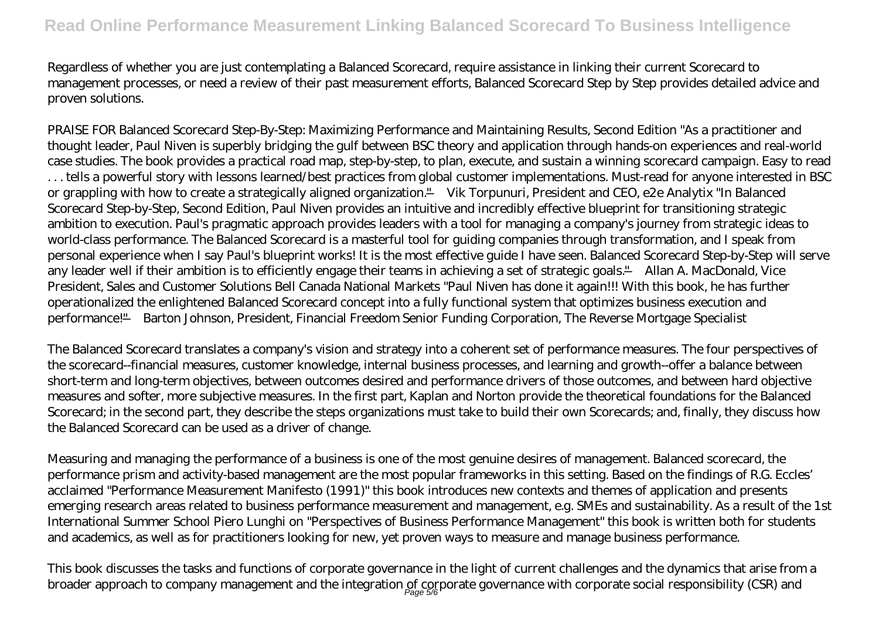Regardless of whether you are just contemplating a Balanced Scorecard, require assistance in linking their current Scorecard to management processes, or need a review of their past measurement efforts, Balanced Scorecard Step by Step provides detailed advice and proven solutions.

PRAISE FOR Balanced Scorecard Step-By-Step: Maximizing Performance and Maintaining Results, Second Edition "As a practitioner and thought leader, Paul Niven is superbly bridging the gulf between BSC theory and application through hands-on experiences and real-world case studies. The book provides a practical road map, step-by-step, to plan, execute, and sustain a winning scorecard campaign. Easy to read . . . tells a powerful story with lessons learned/best practices from global customer implementations. Must-read for anyone interested in BSC or grappling with how to create a strategically aligned organization." —Vik Torpunuri, President and CEO, e2e Analytix "In Balanced Scorecard Step-by-Step, Second Edition, Paul Niven provides an intuitive and incredibly effective blueprint for transitioning strategic ambition to execution. Paul's pragmatic approach provides leaders with a tool for managing a company's journey from strategic ideas to world-class performance. The Balanced Scorecard is a masterful tool for guiding companies through transformation, and I speak from personal experience when I say Paul's blueprint works! It is the most effective guide I have seen. Balanced Scorecard Step-by-Step will serve any leader well if their ambition is to efficiently engage their teams in achieving a set of strategic goals." —Allan A. MacDonald, Vice President, Sales and Customer Solutions Bell Canada National Markets "Paul Niven has done it again!!! With this book, he has further operationalized the enlightened Balanced Scorecard concept into a fully functional system that optimizes business execution and performance!" —Barton Johnson, President, Financial Freedom Senior Funding Corporation, The Reverse Mortgage Specialist

The Balanced Scorecard translates a company's vision and strategy into a coherent set of performance measures. The four perspectives of the scorecard--financial measures, customer knowledge, internal business processes, and learning and growth--offer a balance between short-term and long-term objectives, between outcomes desired and performance drivers of those outcomes, and between hard objective measures and softer, more subjective measures. In the first part, Kaplan and Norton provide the theoretical foundations for the Balanced Scorecard; in the second part, they describe the steps organizations must take to build their own Scorecards; and, finally, they discuss how the Balanced Scorecard can be used as a driver of change.

Measuring and managing the performance of a business is one of the most genuine desires of management. Balanced scorecard, the performance prism and activity-based management are the most popular frameworks in this setting. Based on the findings of R.G. Eccles' acclaimed "Performance Measurement Manifesto (1991)" this book introduces new contexts and themes of application and presents emerging research areas related to business performance measurement and management, e.g. SMEs and sustainability. As a result of the 1st International Summer School Piero Lunghi on "Perspectives of Business Performance Management" this book is written both for students and academics, as well as for practitioners looking for new, yet proven ways to measure and manage business performance.

This book discusses the tasks and functions of corporate governance in the light of current challenges and the dynamics that arise from a broader approach to company management and the integration of corporate governance with corporate social responsibility (CSR) and